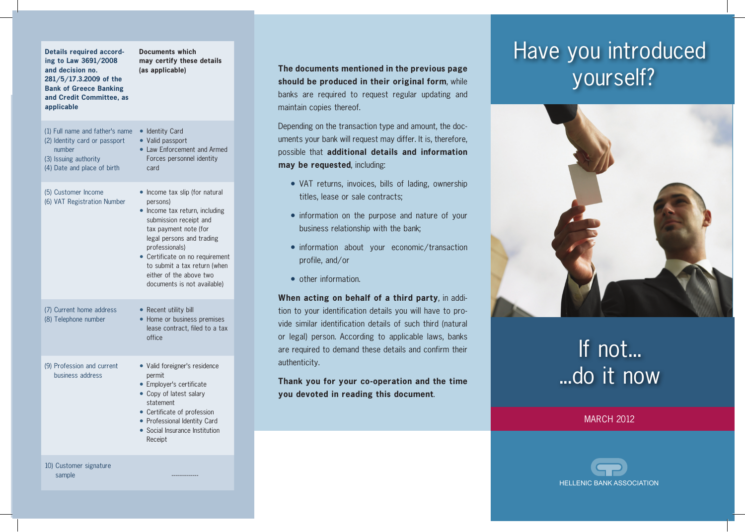| <b>Details required accord-</b><br>ing to Law 3691/2008<br>and decision no.<br>281/5/17.3.2009 of the<br><b>Bank of Greece Banking</b><br>and Credit Committee, as<br>applicable | <b>Documents which</b><br>may certify these details<br>(as applicable)                                                                                                                                                                                                                                      |
|----------------------------------------------------------------------------------------------------------------------------------------------------------------------------------|-------------------------------------------------------------------------------------------------------------------------------------------------------------------------------------------------------------------------------------------------------------------------------------------------------------|
| (1) Full name and father's name<br>(2) Identity card or passport<br>number<br>(3) Issuing authority<br>(4) Date and place of birth                                               | • Identity Card<br>• Valid passport<br>• Law Enforcement and Armed<br>Forces personnel identity<br>card                                                                                                                                                                                                     |
| (5) Customer Income<br>(6) VAT Registration Number                                                                                                                               | • Income tax slip (for natural<br>persons)<br>• Income tax return, including<br>submission receipt and<br>tax payment note (for<br>legal persons and trading<br>professionals)<br>• Certificate on no requirement<br>to submit a tax return (when<br>either of the above two<br>documents is not available) |
| (7) Current home address<br>(8) Telephone number                                                                                                                                 | • Recent utility bill<br>• Home or business premises<br>lease contract, filed to a tax<br>office                                                                                                                                                                                                            |
| (9) Profession and current<br>business address                                                                                                                                   | • Valid foreigner's residence<br>permit<br>• Employer's certificate<br>• Copy of latest salary<br>statement<br>• Certificate of profession<br>• Professional Identity Card<br>• Social Insurance Institution<br>Receipt                                                                                     |
| 10) Customer signature                                                                                                                                                           |                                                                                                                                                                                                                                                                                                             |

sample

### **The documents mentioned in the previous page should be produced in their original form**, while banks are required to request regular updating and maintain copies thereof.

Depending on the transaction type and amount, the documents your bank will request may differ. It is, therefore, possible that **additional details and information may be requested**, including:

- VAT returns, invoices, bills of lading, ownership titles, lease or sale contracts;
- information on the purpose and nature of your business relationship with the bank;
- information about your economic/transaction profile, and/or
- other information.

**When acting on behalf of a third party**, in addition to your identification details you will have to provide similar identification details of such third (natural or legal) person. According to applicable laws, banks are required to demand these details and confirm their authenticity.

**Thank you for your co-operation and the time you devoted in reading this document**.

## Have you introduced yourself?



# If not... ...do it now

MARCH 2012